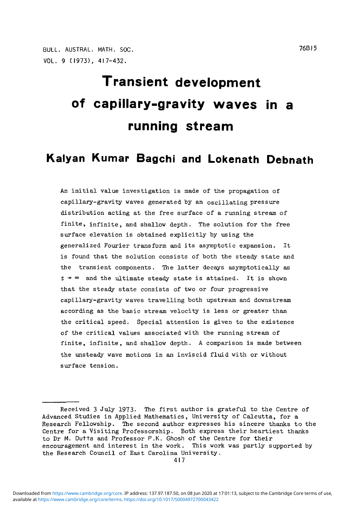BULL. AUSTRAL. MATH. SOC. 76BI5 VOL. 9 (1973), 417-432.

# **Transient development of capillary-gravity waves in a running stream**

## **Kalyan Kumar Bagchi and Lokenath Debnath**

An initial value investigation is made of the propagation of capillary-gravity waves generated by an oscillating pressure distribution acting at the free surface of a running stream of finite, infinite, and shallow depth. The solution for the free surface elevation is obtained explicitly by using the generalized Fourier transform and its asymptotic expansion. It is found that the solution consists of both the steady state and the transient components. The latter decays asymptotically as  $t \rightarrow \infty$  and the ultimate steady state is attained. It is shown that the steady state consists of two or four progressive capillary-gravity waves travelling both upstream and downstream according as the basic stream velocity is less or greater than the critical speed. Special attention is given to the existence of the critical values associated with the running stream of finite, infinite, and shallow depth. A comparison is made between the unsteady wave motions in an inviscid fluid with or without surface tension.

available at <https://www.cambridge.org/core/terms>.<https://doi.org/10.1017/S0004972700043422> Downloaded from [https://www.cambridge.org/core.](https://www.cambridge.org/core) IP address: 137.97.187.50, on 08 Jun 2020 at 17:01:13, subject to the Cambridge Core terms of use,

Received 3 July 1973- The first author is grateful to the Centre of Advanced Studies in Applied Mathematics, University of Calcutta, for a Research Fellowship. The second author expresses his sincere thanks to the Centre for a Visiting Professorship. Both express their heartiest thanks to Dr M. Dutta and Professor P.K. Ghosh of the Centre for their encouragement and interest in the work. This work was partly supported by the Research Council of East Carolina University.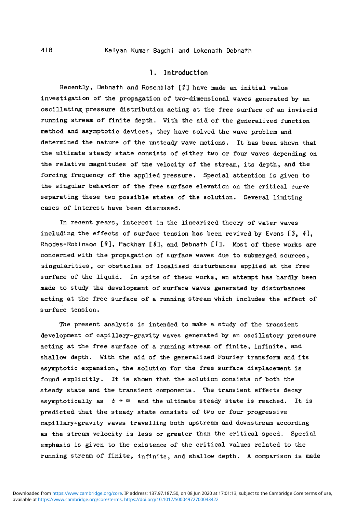#### 418 Kalyan Kumar Bagchi and Lokenath Debnath

#### 1. Introduction

Recently, Debnath and Rosenblat [2] have made an initial value investigation of the propagation of two-dimensional waves generated by an oscillating pressure distribution acting at the free surface of an inviscid running stream of finite depth. With the aid of the generalized function method and asymptotic devices, they have solved the wave problem and determined the nature of the unsteady wave motions. It has been shown that the ultimate steady state consists of either two or four waves depending on the relative magnitudes of the velocity of the stream, its depth, and the forcing frequency of the applied pressure. Special attention is given to the singular behavior of the free surface elevation on the critical curve separating these two possible states of the solution. Several limiting cases of interest have been discussed.

In recent years, interest in the linearized theory of water waves including the effects of surface tension has been revived by Evans [3, *41,* Rhodes-Robinson  $[9]$ , Packham  $[8]$ , and Debnath  $[1]$ . Most of these works are concerned with the propagation of surface waves due to submerged sources, singularities, or obstacles of localised disturbances applied at the free surface of the liquid. In spite of these works, an attempt has hardly been made to study the development of surface waves generated by disturbances acting at the free surface of a running stream which includes the effect of surface tension.

The present analysis is intended to make a study of the transient development of capillary-gravity waves generated by an oscillatory pressure acting at the free surface of a running stream of finite, infinite, and shallow depth. With the aid of the generalized Fourier transform and its asymptotic expansion, the solution for the free surface displacement is found explicitly. It is shown that the solution consists of both the steady state and the transient components. The transient effects decay asymptotically as  $t + \infty$  and the ultimate steady state is reached. It is predicted that the steady state consists of two or four progressive capillary-gravity waves travelling both upstream and downstream according as the stream velocity is less or greater than the critical speed. Special emphasis is given to the existence of the critical values related to the running stream of finite, infinite, and shallow depth. A comparison is made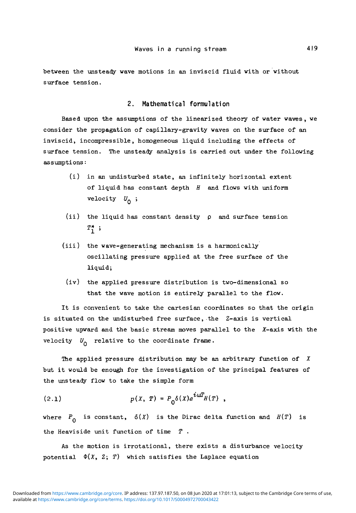between the unsteady wave motions in an inviscid fluid with or without surface tension.

#### 2. Mathematical formulation

Based upon the assumptions of the linearized theory of water waves , we consider the propagation of capillary-gravity waves on the surface of an inviscid, incompressible, homogeneous liquid including the effects of surface tension. The unsteady analysis is carried out under the following assumptions:

- (i) in an undisturbed state, an infinitely horizontal extent of liquid has constant depth *H* and flows with uniform velocity  $U_0$ ;
- (ii) the liquid has constant density  $\rho$  and surface tension  $T_1^*$  ;
- (iii) the wave-generating mechanism is a harmonically oscillating pressure applied at the free surface of the liquid;
- (iv) the applied pressure distribution is two-dimensional so that the wave motion is entirely parallel to the flow.

It is convenient to take the cartesian coordinates so that the origin is situated on the undisturbed free surface, the Z-axis is vertical positive upward and the basic stream moves parallel to the X-axis with the velocity  $U_0$  relative to the coordinate frame.

The applied pressure distribution may be an arbitrary function of *X* but it would be enough for the investigation of the principal features of the unsteady flow to take the simple form

$$
(2.1) \t\t\t p(X, T) = P_0 \delta(X) e^{i\omega T} H(T) ,
$$

where  $P_{\Omega}$  is constant,  $\delta(X)$  is the Dirac delta function and  $H(T)$  is the Heaviside unit function of time  $T$ .

As the motion is irrotational, there exists a disturbance velocity potential  $\Phi(X, Z; T)$  which satisfies the Laplace equation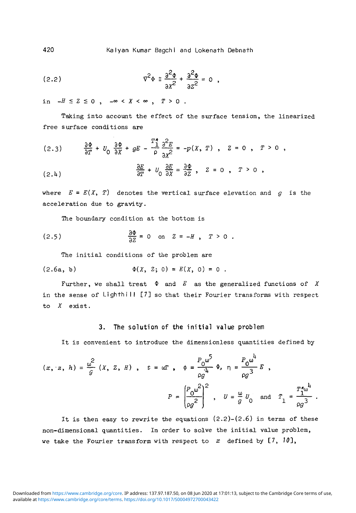420 Kalyan Kumar Bagchi and Lokenath Debnath

$$
\nabla^2 \Phi \equiv \frac{\partial^2 \Phi}{\partial x^2} + \frac{\partial^2 \Phi}{\partial z^2} = 0
$$

in  $-H \leq Z \leq 0$ ,  $-\infty < X < \infty$ ,  $T > 0$ .

Taking into account the effect of the surface tension, the linearized free surface conditions are

$$
(2.3) \qquad \frac{\partial \Phi}{\partial T} + U_0 \frac{\partial \Phi}{\partial X} + gE - \frac{T_1^*}{\rho} \frac{\partial^2 E}{\partial X^2} = -p(X, T) \ , \quad Z = 0 \ , \quad T > 0 \ ,
$$

$$
\frac{\partial E}{\partial T} + U_0 \frac{\partial E}{\partial X} = \frac{\partial \Phi}{\partial Z} , \quad Z = 0 , \quad T > 0 ,
$$

where  $E = E(X, T)$  denotes the vertical surface elevation and g is the acceleration due to gravity.

The boundary condition at the bottom is

(2.5) 
$$
\frac{\partial \Phi}{\partial z} = 0
$$
 on  $z = -H$ ,  $T > 0$ .

The initial conditions of the problem are

(2.6a, b) \$U , Z; 0) = E{X, 0) = 0 .

Further, we shall treat  $\Phi$  and E as the generalized functions of X in the sense of Lighthill [7] so that their Fourier transforms with respect to X exist.

#### 3. The solution of the initial value problem

It is convenient to introduce the dimensionless quantities defined by

$$
(x, z, h) = \frac{\omega^2}{g} (X, Z, H), \quad t = \omega T, \quad \phi = \frac{P_0 \omega^5}{\omega g} \Phi, \quad \eta = \frac{P_0 \omega^1}{\omega g^3} E,
$$
  

$$
P = \left(\frac{P_0 \omega^2}{\omega g^2}\right)^2, \quad U = \frac{\omega}{g} U_0 \text{ and } T_1 = \frac{T_1^* \omega^1}{\omega g^3}.
$$

It is then easy to rewrite the equations  $(2.2)-(2.6)$  in terms of these non-dimensional quantities. In order to solve the initial value problem, we take the Fourier transform with respect to  $x$  defined by  $[7, 10]$ ,

available at <https://www.cambridge.org/core/terms>.<https://doi.org/10.1017/S0004972700043422> Downloaded from [https://www.cambridge.org/core.](https://www.cambridge.org/core) IP address: 137.97.187.50, on 08 Jun 2020 at 17:01:13, subject to the Cambridge Core terms of use,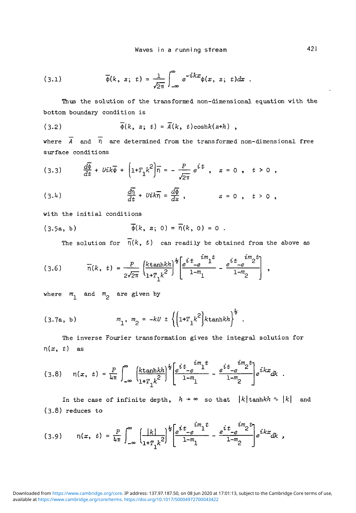(3.1) 
$$
\overline{\phi}(k, z; t) = \frac{1}{\sqrt{2\pi}} \int_{-\infty}^{\infty} e^{-ikx} \phi(x, z; t) dx.
$$

Thus the solution of the transformed non-dimensional equation with the bottom boundary condition is

$$
(3.2) \qquad \overline{\phi}(k, z; t) = \overline{A}(k, t) \cosh(k(z+h)),
$$

where  $\overline{A}$  and  $\overline{\eta}$  are determined from the transformed non-dimensional free surface conditions

(3.3) 
$$
\frac{d\overline{\phi}}{dt} + Uik\overline{\phi} + \left[1 + T_1k^2\right]\overline{n} = -\frac{P}{\sqrt{2\pi}}e^{i\overline{t}}, \quad z = 0, \quad t > 0,
$$

(3.4) 
$$
\frac{d\overline{n}}{dt} + Uik\overline{n} = \frac{d\overline{\phi}}{dz}, \qquad z = 0, t > 0,
$$

with the initial conditions

(3.5a, b) 
$$
\overline{\phi}(k, z; 0) = \overline{\eta}(k, 0) = 0
$$
.

The solution for  $\overline{n}(k, t)$  can readily be obtained from the above as

$$
(3.6) \qquad \overline{n}(k, t) = \frac{P}{2\sqrt{2\pi}} \left( \frac{k \tanh k h}{1 + T_1 k^2} \right)^{\frac{t}{2}} \left[ e^{\frac{t}{L}} - e^{\frac{im_1 t}{L}} - \frac{e^{\frac{t}{L}} - e^{\frac{im_2 t}{L}}}{1 - m_2} \right]
$$

where  $m_1$  and  $m_2$  are given by

(3.7a, b) 
$$
m_1, m_2 = -kU \pm \left\{ \left( 1 + T_1 k^2 \right) k \tanh k h \right\}^2
$$
.

The inverse Fourier transformation gives the integral solution for  $r(x, t)$  as

$$
(3.8) \quad \eta(x, t) = \frac{P}{4\pi} \int_{-\infty}^{\infty} \frac{\left[k \tanh kh\right]^{\frac{1}{2}}}{1 + T_1 k^2} \left[\frac{e^{it} - e^{-im}1^t}{1 - m_1} - \frac{e^{it} - e^{-im}2^t}{1 - m_2}\right] e^{ikx} dx.
$$

In the case of infinite depth,  $h \rightarrow \infty$  so that  $|k|$ tanhkh  $\sim |k|$  and  $(3.8)$  reduces to

$$
(3.9) \qquad \eta(x, t) = \frac{P}{4\pi} \int_{-\infty}^{\infty} \left( \frac{|k|}{1 + T_1 k^2} \right)^{\frac{1}{2}} \left[ \frac{e^{it} - e^{im_1 t}}{1 - m_1} - \frac{e^{it} - e^{im_2 t}}{1 - m_2} \right] e^{ikx} dk,
$$

available at <https://www.cambridge.org/core/terms>.<https://doi.org/10.1017/S0004972700043422> Downloaded from [https://www.cambridge.org/core.](https://www.cambridge.org/core) IP address: 137.97.187.50, on 08 Jun 2020 at 17:01:13, subject to the Cambridge Core terms of use,

 $\bullet$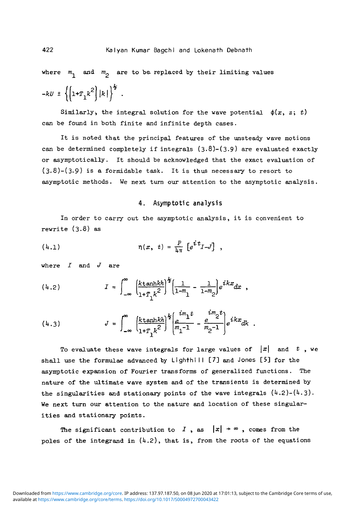where  $m_1$  and  $m_2$  are to be replaced by their limiting values

$$
-kU \pm \left\{\left[1{+}T_1k^2\right]|k|\right\}^{\frac{1}{2}}\,.
$$

Similarly, the integral solution for the wave potential  $\phi(x, z; t)$ can be found in both finite and infinite depth cases.

It is noted that the principal features of the unsteady wave motions can be determined completely if integrals  $(3.8)-(3.9)$  are evaluated exactly or asymptotically. It should be acknowledged that the exact evaluation of  $(3.8)-(3.9)$  is a formidable task. It is thus necessary to resort to asymptotic methods. We next turn our attention to the asymptotic analysis.

#### 4. Asymptotic analysis

In order to carry out the asymptotic analysis, it is convenient to rewrite (3.8) as

(4.1) 
$$
\eta(x, t) = \frac{P}{4\pi} \left[ e^{i t} I - J \right],
$$

where *I* and *J* are

(4.2) 
$$
I = \int_{-\infty}^{\infty} \frac{k \tanhkh}{1 + T_1 k^2} \left[ \frac{1}{1 - m_1} - \frac{1}{1 - m_2} \right] e^{ikx} dx ,
$$

(4.3) 
$$
J = \int_{-\infty}^{\infty} \left( \frac{k \tanh kh}{1 + T_1 k^2} \right)^{\frac{1}{2}} \left( \frac{im_1 t}{m_1 - 1} - \frac{e^{im_2 t}}{m_2 - 1} \right) e^{ikx} dk.
$$

To evaluate these wave integrals for large values of  $|x|$  and t, we shall use the formulae advanced by Lighthi II [7] and Jones [5] for the asymptotic expansion of Fourier transforms of generalized functions. The nature of the ultimate wave system and of the transients is determined by the singularities and stationary points of the wave integrals  $(4.2)-(4.3)$ . We next turn our attention to the nature and location of these singularities and stationary points.

The significant contribution to I, as  $|x| \rightarrow \infty$ , comes from the poles of the integrand in  $(4.2)$ , that is, from the roots of the equations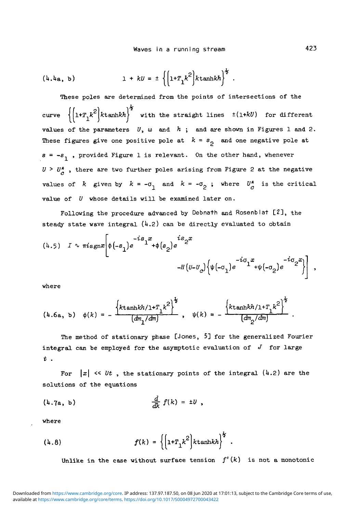$$
(4.4a, b)
$$
 1 +  $kU = \pm \left\{ \left( 1 + T_1 k^2 \right) k \tanhkh \right\}^2$ .

These poles are determined from the points of intersections of the curve  $\{|1^x\gamma_k^k|^2\}$  with the straight lines  $\pm(1+kU)$  for different values of the parameters  $U$ ,  $\omega$  and  $h$ ; and are shown in Figures 1 and 2. These figures give one positive pole at  $k = s<sub>o</sub>$  and one negative pole at  $s = -s<sub>1</sub>$ , provided Figure 1 is relevant. On the other hand, whenever  $U > U^*_{\alpha}$ , there are two further poles arising from Figure 2 at the negative values of k given by  $k = -\sigma_1$  and  $k = -\sigma_2$ ; where  $U_c^*$  is the critical value of V whose details will be examined later on.

Following the procedure advanced by Debnath and Rosenblat [2], the steady state wave integral  $(4.2)$  can be directly evaluated to obtain

$$
(4.5) \quad I \sim \pi i \operatorname{sgn} x \left[ \phi(-s_1) e^{-is_1 x} + \phi(s_2) e^{is_2 x} -H(U-U_c) \left\{ \psi(-\sigma_1) e^{-i\sigma_1 x} + \psi(-\sigma_2) e^{-i\sigma_2 x} \right\} \right],
$$

where

$$
(4.6a, b) \quad \phi(k) = -\frac{\left\{k \tanh k h / 1 + T_1 k^2\right\}^{\frac{1}{2}}}{\left(\frac{dm_1}{dm}\right)}, \quad \psi(k) = -\frac{\left\{k \tanh k h / 1 + T_1 k^2\right\}^{\frac{1}{2}}}{\left(\frac{dm_2}{dm}\right)}.
$$

The method of stationary phase [Jones, 5] for the generalized Fourier integral can be employed for the asymptotic evaluation of  $J$  for large t .

For  $|x| \ll Ut$ , the stationary points of the integral (4.2) are the solutions of the equations

$$
\frac{d}{dk} f(k) = \pm U,
$$

where

$$
(4.8) \t f(k) = \left\{ \left[ 1 + T_1 k^2 \right] k \tanh k h \right\}^2.
$$

Unlike in the case without surface tension  $f'(k)$  is not a monotonic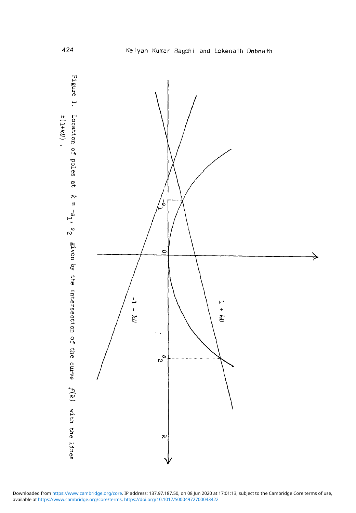



available at <https://www.cambridge.org/core/terms>.<https://doi.org/10.1017/S0004972700043422> Downloaded from [https://www.cambridge.org/core.](https://www.cambridge.org/core) IP address: 137.97.187.50, on 08 Jun 2020 at 17:01:13, subject to the Cambridge Core terms of use,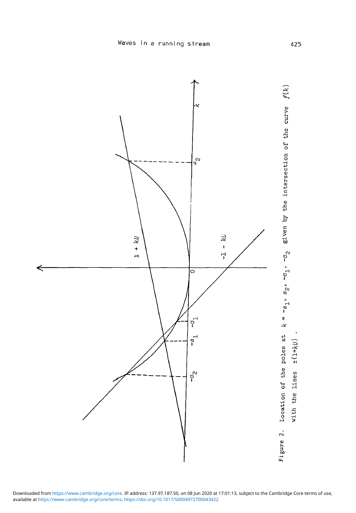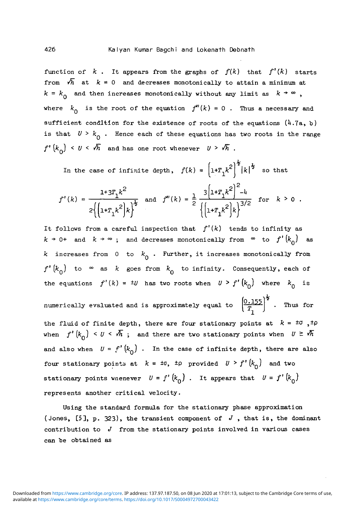function of  $k$ . It appears from the graphs of  $f(k)$  that  $f'(k)$  starts from  $\sqrt{h}$  at  $k = 0$  and decreases monotonically to attain a minimum at  $k = k_{0}$  and then increases monotonically without any limit as  $k \rightarrow \infty$ , where  $k_{\text{Q}}$  is the root of the equation  $f''(k) = 0$ . Thus a necessary and sufficient condition for the existence of roots of the equations *(h.Ta,* b) is that  $U > k_0$ . Hence each of these equations has two roots in the range  $f'(k_{\alpha}) \leq U \leq \sqrt{h}$  and has one root whenever  $U \geq \sqrt{h}$ .

In the case of infinite depth, 
$$
f(k) = \left(1 + T_1 k^2\right)^{\frac{1}{2}} |k|^{\frac{1}{2}}
$$
 so that  
\n
$$
f'(k) = \frac{1 + 3T_1 k^2}{2 \left(\left(1 + T_1 k^2\right) k\right)^{\frac{1}{2}}}
$$
 and  $f''(k) = \frac{1}{2} \frac{3 \left(1 + T_1 k^2\right)^2 - 4}{\left(\left[1 + T_1 k^2\right) k\right)^{3/2}}$  for  $k > 0$ 

It follows from a careful inspection that  $f'(k)$  tends to infinity as  $k \rightarrow 0+$  and  $k \rightarrow \infty$ ; and decreases monotonically from  $\infty$  to  $f'(k^0)$  as k increases from 0 to  $k_0$ . Further, it increases monotonically from  $f'(k_{\alpha})$  to  $\infty$  as *k* goes from  $k_{\alpha}$  to infinity. Consequently, each of the equations  $f'(k) = \pm U$  has two roots when  $U > f'(k_0)$  where  $k_0$  is numerically evaluated and is approximately equal to  $\left( \frac{0.155}{T_1} \right)^2$ . Thus for the fluid of finite depth, there are four stationary points at  $k = \pm 0$ ,  $\pm \rho$ when  $f' (k_0) < U < \overline{M}$ ; and there are two stationary points when  $U \ge \overline{M}$ and also when  $U = f' (k_0)$ . In the case of infinite depth, there are also four stationary points at  $k = \pm 0$ ,  $\pm \rho$  provided  $U > f'(k_0)$  and two stationary points wnenever  $U = f'(k_0)$ . It appears that  $U = f'(k_0)$ represents another critical velocity.

Using the standard formula for the stationary phase approximation (Jones, [5], p. 323), the transient component of *J ,* that is, the dominant contribution to *J* from the stationary points involved in various cases can be obtained as

*Q*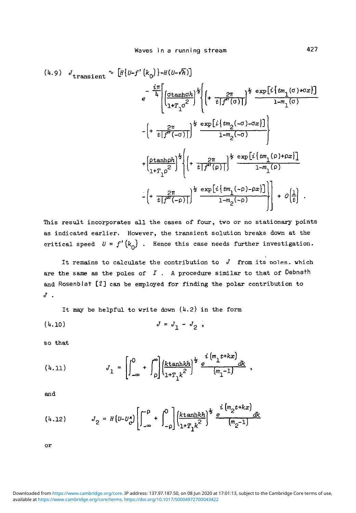$$
(4.9) J_{\text{transient}} \sim [H\{U-f'\{k_0\}\} - H(U-\sqrt{h})]
$$
\n
$$
e^{-\frac{i\pi}{h} \left[ \frac{\sigma \tanh \sigma h}{1 + T_1 \sigma^2} \right]^{\frac{1}{2}}} \left\{ \left( + \frac{2\pi}{t \int f''(\sigma)} \right)^{\frac{1}{2}} \frac{\exp[i \{ t \pi_1(\sigma) + \sigma x \}]}{1 - m_1(\sigma)} - \left( + \frac{2\pi}{t \int f''(-\sigma)} \right)^{\frac{1}{2}} \frac{\exp[i \{ t \pi_2(-\sigma) - \sigma x \}]}{1 - m_2(-\sigma)} \right\}
$$
\n
$$
+ \left( \frac{\rho \tanh \rho h}{1 + T_1 \rho^2} \right)^{\frac{1}{2}} \left\{ \left( + \frac{2\pi}{t \int f''(\rho)} \right)^{\frac{1}{2}} \frac{\exp[i \{ t \pi_1(\rho) + \rho x \}]}{1 - m_1(\rho)} - \left( + \frac{2\pi}{t \int f''(-\rho)} \right)^{\frac{1}{2}} \frac{\exp[i \{ t \pi_1(-\rho) - \rho x \}]}{1 - m_2(-\rho)} \right) + O\left[\frac{1}{t}\right].
$$

This result incorporates all the cases of four, two or no stationary points as indicated earlier. However, the transient solution breaks down at the critical speed  $U = f'(k_0)$ . Hence this case needs further investigation.

It remains to calculate the contribution to  $J$  from its poles, which are the same as the poles of *I* . A procedure similar to that of Debnath and Rosenblat [2] can be employed for finding the polar contribution to *J .*

It may be helpful to write down  $(4.2)$  in the form

$$
(4.10) \t\t J = J_1 - J_2,
$$

so that

$$
(4.11) \tJ_1 = \left[ \int_{-\infty}^0 + \int_{\rho}^{\infty} \left| \frac{k \tanhkh}{1 + T_1 k^2} \right|^{\frac{1}{2}} \frac{e^{i(m_1 t + kx)}}{(m_1 - 1)} \right] dx ,
$$

and

$$
(4.12) \tJ_2 = H (U - U_{C}^{*}) \left[ \int_{-\infty}^{0} + \int_{-\rho}^{0} \left| \frac{k \tanh kh}{1 + T_1 k^2} \right|^{\frac{1}{2}} \frac{e^{i (m_2 t + kx)}}{(m_2 - 1)} \frac{dk}{k} \right]
$$

or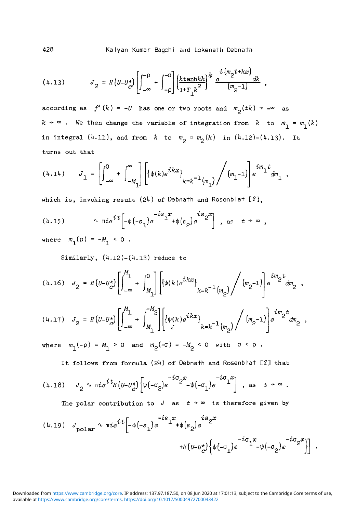428 Kalyan Kumar Bagchi and Lokenath Debnath

$$
(4.13) \tJ_2 = H \left( U - U_{c'}^{\star} \right) \left[ \int_{-\infty}^{-\rho} + \int_{-\rho}^{-\sigma} \right] \left( \frac{k \tanhkh}{1+T_1 k^2} \right)^{\frac{1}{2}} \frac{e^{i \left( m_2 t + kx \right)}}{\left( m_2 - 1 \right)} \, dk \ ,
$$

according as  $f'(k) = -U$  has one or two roots and  $m_{p}(±k) \rightarrow -\infty$  as  $k \rightarrow \infty$ . We then change the variable of integration from  $k$  to  $m_{\text{1}} = m_{\text{1}}(k)$ in integral  $(4.11)$ , and from  $k$  to  $m^2 = m^2(k)$  in  $(4.12)-(4.13)$ . It turns out that

$$
(4.14) \qquad J_1 = \left[ \int_{-\infty}^0 + \int_{-M_1}^{\infty} \right] \left[ \{ \phi(k) e^{ikx} \}_{k=k^{-1} \left( m_1 \right)} \Bigg/ \left( m_1^{-1} \right) \right] e^{im_1 t} dm_1 \ ,
$$

which is, invoking result  $(24)$  of Debnath and Rosenblat  $[2]$ ,

$$
(4.15) \t\t\t\t $\sqrt{n}ie^{it}[-\phi(-s_1)e^{-is_1x}+\phi(s_2)e^{is_2x}],$  as  $t \to \infty$ ,
$$

where  $m_1(\rho) = -M_1 < 0$ .

Similarly,  $(4.12)-(4.13)$  reduce to

$$
(4.16) \quad J_2 = H(U - U_{c}^{*}) \left[ \int_{-\infty}^{M_1} + \int_{M_1}^{0} \right] \left[ \{ \psi(k) e^{ikx} \}_{k=k^{-1} \binom{m_2}{2}} \middle/ \binom{m_2-1}{2} \right] e^{im_2 t} dm_2 ,
$$
\n
$$
(4.17) \quad J_2 = H(U - U_{c}^{*}) \left[ \int_{-\infty}^{M_1} + \int_{M_1}^{-M_2} \right] \left[ \{ \psi(k) e^{ikx} \}_{k=k^{-1} \binom{m_2}{2}} \middle/ \binom{m_2-1}{2} \right] e^{im_2 t} dm_2 ,
$$

where  $m_1(-\rho) = M_1 > 0$  and  $m_2(-\sigma) = -M_2 < 0$  with  $\sigma < \rho$ .

It follows from formula (24) of Debnath and Rosenblat [2] that

r ~^°px -io ii *•nie'ltH{u-U\*}h[-a2)e 2* -^(-aj e I , as

The polar contribution to  $J$  as  $t \rightarrow \infty$  is therefore given by

$$
(4.19) \quad J_{\text{polar}} \sim \pi i e^{i t} \left[ -\phi(-s_1) e^{-i s_1 x} + \phi(s_2) e^{-i s_2 x} + H \left( U - U_c^* \right) \left\{ \psi(-\sigma_1) e^{-i \sigma_1 x} - \psi(-\sigma_2) e^{-i \sigma_2 x} \right\} \right].
$$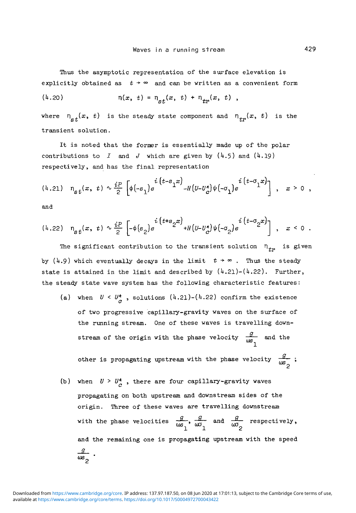Thus the asymptotic representation of the surface elevation is explicitly obtained as  $t + \infty$  and can be written as a convenient form

$$
(4.20) \t\t \eta(x, t) = \eta_{st}(x, t) + \eta_{tr}(x, t) ,
$$

where  $n_{s,t}(x, t)$  is the steady state component and  $n_{tn}(x, t)$  is the transient solution.

It is noted that the former is essentially made up of the polar contributions to *I* and *J* which are given by  $(4.5)$  and  $(4.19)$ respectively, and has the final representation

$$
(4.21) \quad \eta_{st}(x, t) \sim \frac{i}{2} \left[ \phi(-s_1) e^{i (t-s_1 x)} - H(U-U_c^*) \psi(-\sigma_1) e^{i (t-\sigma_1 x)} \right], \quad x > 0,
$$

and

$$
(4.22) \quad \eta_{st}(x, t) \sim \frac{i}{2} \left[ -\phi(s_2) e^{-i(t+s_2x)} + H(v - v_c^*) \psi(-\sigma_2) e^{-i(t-\sigma_2x)} \right], \quad x < 0.
$$

The significant contribution to the transient solution  $n_{\tau_P}$  is given by  $(4.9)$  which eventually decays in the limit  $t \rightarrow \infty$ . Thus the steady state is attained in the limit and described by  $(4.21)-(4.22)$ . Further, the steady state wave system has the following characteristic features:

- (a) when  $U \leq U^*_{\alpha}$ , solutions  $(4.21)-(4.22)$  confirm the existence of two progressive capillary-gravity waves on the surface of the running stream. One of these waves is travelling downstream of the origin with the phase velocity  $\frac{g}{\omega s}$  and the other is propagating upstream with the phase velocity  $\frac{q}{\omega s}$ ;
- (b) when  $U > U^*_{C}$ , there are four capillary-gravity waves propagating on both upstream and downstream sides of the origin. Three of these waves are travelling downstream with the phase velocities  $\frac{g}{\omega s_1}, \frac{g}{\omega t_1}$  and  $\frac{g}{\omega t_2}$  respectively, and the remaining one is propagating upstream with the speed  $\frac{g}{\omega s}$ .

2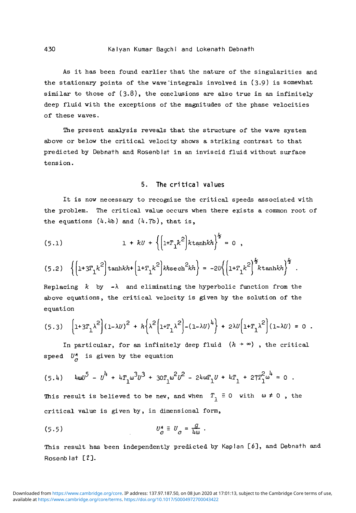As it has been found earlier that the nature of the singularities and the stationary points of the wave'integrals involved in (3-9) is somewhat similar to those of  $(3.8)$ , the conclusions are also true in an infinitely deep fluid with the exceptions of the magnitudes of the phase velocities of these waves.

The present analysis reveals that the structure of the wave system above or below the critical velocity shows a striking contrast to that predicted by Debnath and Rosenblat in an inviscid fluid without surface tension.

### 5. The critical values

It is now necessary to recognize the critical speeds associated with the problem. The critical value occurs when there eyists a common root of the equations  $(4.4b)$  and  $(4.7b)$ , that is,

(5.1) 
$$
1 + kU + \left\{ \left[ 1 + T_1 k^2 \right] k \tanh k h \right\}^{\frac{1}{2}} = 0 ,
$$

$$
(5.2) \quad \left\{ \left(1+3T_1k^2\right)\tanh kh + \left(1+T_1k^2\right)kh\sech^2kh \right\} = -2U\left\{ \left(1+T_1k^2\right)^{\frac{1}{2}}k\tanh kh \right\}^{\frac{1}{2}}.
$$

Replacing  $k$  by  $-\lambda$  and eliminating the hyperbolic function from the above equations, the critical velocity is given by the solution of the equation

$$
(5.3)\quad \left[1+3T_1\lambda^2\right]\left(1-\lambda U\right)^2\ +\ h\left\{\lambda^2\left(1+T_1\lambda^2\right)-(1-\lambda U)^4\right\}\ +\ 2\lambda U\left(1+T_1\lambda^2\right]\left(1-\lambda U\right)\ =\ 0\ .
$$

In particular, for an infinitely deep fluid  $(h + \infty)$ , the critical speed  $U^*_{\alpha}$  is given by the equation

$$
(5.4) \t 4\omega U^5 - U^4 + 4T_1 \omega^3 U^3 + 30T_1 \omega^2 U^2 - 24\omega T_1 U + 4T_1 + 27T_1^2 \omega^4 = 0.
$$

This result is believed to be new, and when  $T_1 \equiv 0$  with  $\omega \neq 0$ , the critical value is given by, in dimensional form,

(5.5) *U\* = U* = *•&- .*

**G**

This result has been independently predicted by Kaplan [6], and Debnath and Rosenblat [2].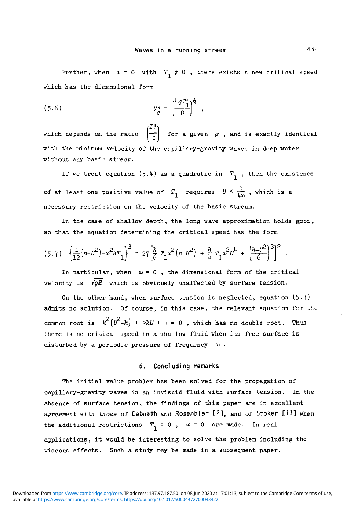Further, when  $\omega = 0$  with  $T_1 \neq 0$ , there exists a new critical speed which has the dimensional form

(5.6) [/\* =

which depends on the ratio  $\begin{pmatrix} T^* \\ 1 \\ \rho \end{pmatrix}$  for a given g, and is exactly identical with the minimum velocity of the capillary-gravity waves in deep water without any basic stream.

If we treat equation  $(5.4)$  as a quadratic in  $T_1$ , then the existence of at least one positive value of  $T_1$  requires  $U \leq \frac{1}{\ln \alpha}$ , which is a necessary restriction on the velocity of the basic stream.

In the case of shallow depth, the long wave approximation holds good, so that the equation determining the critical speed has the form

$$
(5.7) \quad \left\{\frac{1}{12}(h - v^2) - \omega^2 h T_1\right\}^3 = 27\left[\frac{h}{6} T_1 \omega^2 (h - v^2) + \frac{h}{4} T_1 \omega^2 v^4 + \left(\frac{h - v^2}{6}\right)^3\right]^2
$$

In particular, when  $\omega = 0$ , the dimensional form of the critical velocity is  $\sqrt{gH}$  which is obviously unaffected by surface tension.

On the other hand, when surface tension is neglected, equation (5-7) admits no solution. Of course, in this case, the relevant equation for the common root is  $k^2(v^2-h)$  +  $2kU + 1 = 0$ , which has no double root. Thus there is no critical speed in a shallow fluid when its free surface is disturbed by a periodic pressure of frequency  $\omega$ .

#### **6. Concluding remarks**

The initial value problem has been solved for the propagation of capillary-gravity waves in an inviscid fluid with surface tension. In the absence of surface tension, the findings of this paper are in excellent agreement with those of Debnath and Rosenblat [2], and of Stoker [11] when the additional restrictions  $T_1 = 0$ ,  $\omega = 0$  are made. In real applications, it would be interesting to solve the problem including the viscous effects. Such a study may be made in a subsequent paper.